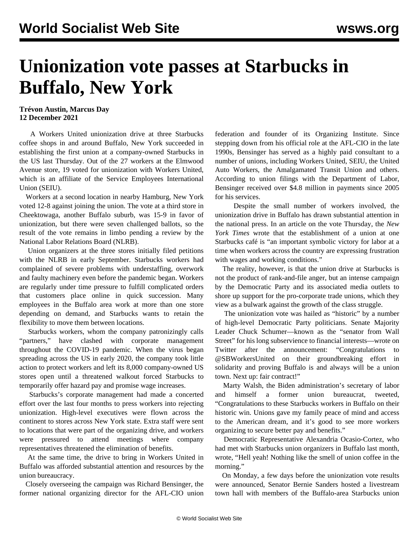## **Unionization vote passes at Starbucks in Buffalo, New York**

## **Trévon Austin, Marcus Day 12 December 2021**

 A Workers United unionization drive at three Starbucks coffee shops in and around Buffalo, New York succeeded in establishing the first union at a company-owned Starbucks in the US last Thursday. Out of the 27 workers at the Elmwood Avenue store, 19 voted for unionization with Workers United, which is an affiliate of the Service Employees International Union (SEIU).

 Workers at a second location in nearby Hamburg, New York voted 12-8 against joining the union. The vote at a third store in Cheektowaga, another Buffalo suburb, was 15-9 in favor of unionization, but there were seven challenged ballots, so the result of the vote remains in limbo pending a review by the National Labor Relations Board (NLRB).

 Union organizers at the three stores initially filed petitions with the NLRB in early September. Starbucks workers had complained of severe problems with understaffing, overwork and faulty machinery even before the pandemic began. Workers are regularly under time pressure to fulfill complicated orders that customers place online in quick succession. Many employees in the Buffalo area work at more than one store depending on demand, and Starbucks wants to retain the flexibility to move them between locations.

 Starbucks workers, whom the company patronizingly calls "partners," have clashed with corporate management throughout the COVID-19 pandemic. When the virus began spreading across the US in early 2020, the company took little action to protect workers and left its 8,000 company-owned US stores open until a threatened walkout forced Starbucks to temporarily offer hazard pay and promise wage increases.

 Starbucks's corporate management had made a concerted effort over the last four months to press workers into rejecting unionization. High-level executives were flown across the continent to stores across New York state. Extra staff were sent to locations that were part of the organizing drive, and workers were pressured to attend meetings where company representatives threatened the elimination of benefits.

 At the same time, the drive to bring in Workers United in Buffalo was afforded substantial attention and resources by the union bureaucracy.

 Closely overseeing the campaign was Richard Bensinger, the former national organizing director for the AFL-CIO union federation and founder of its Organizing Institute. Since stepping down from his official role at the AFL-CIO in the late 1990s, Bensinger has served as a highly paid consultant to a number of unions, including Workers United, SEIU, the United Auto Workers, the Amalgamated Transit Union and others. According to union filings with the Department of Labor, Bensinger received over \$4.8 million in payments since 2005 for his services.

 Despite the small number of workers involved, the unionization drive in Buffalo has drawn substantial attention in the national press. In an article on the vote Thursday, the *New York Times* wrote that the establishment of a union at one Starbucks café is "an important symbolic victory for labor at a time when workers across the country are expressing frustration with wages and working conditions."

 The reality, however, is that the union drive at Starbucks is not the product of rank-and-file anger, but an intense campaign by the Democratic Party and its associated media outlets to shore up support for the pro-corporate trade unions, which they view as a bulwark against the growth of the class struggle.

 The unionization vote was hailed as "historic" by a number of high-level Democratic Party politicians. Senate Majority Leader Chuck Schumer—known as the "senator from Wall Street" for his long subservience to financial interests—wrote on Twitter after the announcement: "Congratulations to [@SBWorkersUnited](https://twitter.com/SBWorkersUnited) on their groundbreaking effort in solidarity and proving Buffalo is and always will be a union town. Next up: fair contract!"

 Marty Walsh, the Biden administration's secretary of labor and himself a former union bureaucrat, tweeted, "Congratulations to these Starbucks workers in Buffalo on their historic win. Unions gave my family peace of mind and access to the American dream, and it's good to see more workers organizing to secure better pay and benefits."

 Democratic Representative Alexandria Ocasio-Cortez, who had met with Starbucks union organizers in Buffalo last month, wrote, "Hell yeah! Nothing like the smell of union coffee in the morning."

 On Monday, a few days before the unionization vote results were announced, Senator Bernie Sanders hosted a livestream town hall with members of the Buffalo-area Starbucks union